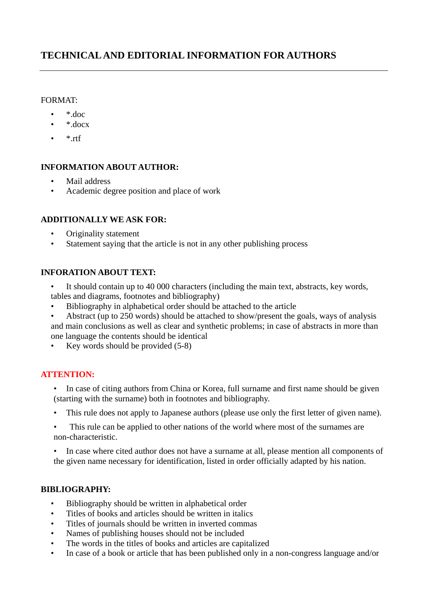# **TECHNICAL AND EDITORIAL INFORMATION FOR AUTHORS**

### FORMAT:

- \*.doc
- \*.docx
- $*$ <sub>rtf</sub>

### **INFORMATION ABOUT AUTHOR:**

- Mail address
- Academic degree position and place of work

### **ADDITIONALLY WE ASK FOR:**

- Originality statement
- Statement saying that the article is not in any other publishing process

# **INFORATION ABOUT TEXT:**

- It should contain up to 40 000 characters (including the main text, abstracts, key words, tables and diagrams, footnotes and bibliography)
- Bibliography in alphabetical order should be attached to the article
- Abstract (up to 250 words) should be attached to show/present the goals, ways of analysis and main conclusions as well as clear and synthetic problems; in case of abstracts in more than one language the contents should be identical
- Key words should be provided (5-8)

# **ATTENTION:**

- In case of citing authors from China or Korea, full surname and first name should be given (starting with the surname) both in footnotes and bibliography.
- This rule does not apply to Japanese authors (please use only the first letter of given name).
- This rule can be applied to other nations of the world where most of the surnames are non-characteristic.

• In case where cited author does not have a surname at all, please mention all components of the given name necessary for identification, listed in order officially adapted by his nation.

#### **BIBLIOGRAPHY:**

- Bibliography should be written in alphabetical order
- Titles of books and articles should be written in italics
- Titles of journals should be written in inverted commas
- Names of publishing houses should not be included
- The words in the titles of books and articles are capitalized
- In case of a book or article that has been published only in a non-congress language and/or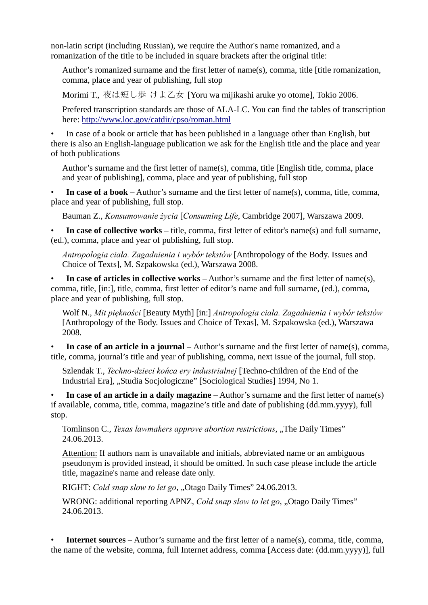non-latin script (including Russian), we require the Author's name romanized, and a romanization of the title to be included in square brackets after the original title:

Author's romanized surname and the first letter of name(s), comma, title [title romanization, comma, place and year of publishing, full stop

Morimi T., 夜は短し歩 けよ乙女 [Yoru wa mijikashi aruke yo otome], Tokio 2006.

Prefered transcription standards are those of ALA-LC. You can find the tables of transcription here: http://www.loc.gov/catdir/cpso/roman.html

• In case of a book or article that has been published in a language other than English, but there is also an English-language publication we ask for the English title and the place and year of both publications

Author's surname and the first letter of name(s), comma, title [English title, comma, place and year of publishing], comma, place and year of publishing, full stop

• **In case of a book** – Author's surname and the first letter of name(s), comma, title, comma, place and year of publishing, full stop.

Bauman Z., *Konsumowanie życia* [*Consuming Life*, Cambridge 2007], Warszawa 2009.

• **In case of collective works** – title, comma, first letter of editor's name(s) and full surname, (ed.), comma, place and year of publishing, full stop.

*Antropologia ciała. Zagadnienia i wybór tekstów* [Anthropology of the Body. Issues and Choice of Texts], M. Szpakowska (ed.), Warszawa 2008.

• **In case of articles in collective works** – Author's surname and the first letter of name(s), comma, title, [in:], title, comma, first letter of editor's name and full surname, (ed.), comma, place and year of publishing, full stop.

Wolf N., *Mit piękności* [Beauty Myth] [in:] *Antropologia ciała. Zagadnienia i wybór tekstów*  [Anthropology of the Body. Issues and Choice of Texas], M. Szpakowska (ed.), Warszawa 2008.

• **In case of an article in a journal** – Author's surname and the first letter of name(s), comma, title, comma, journal's title and year of publishing, comma, next issue of the journal, full stop.

Szlendak T., *Techno-dzieci końca ery industrialnej* [Techno-children of the End of the Industrial Era], "Studia Socjologiczne" [Sociological Studies] 1994, No 1.

• **In case of an article in a daily magazine** – Author's surname and the first letter of name(s) if available, comma, title, comma, magazine's title and date of publishing (dd.mm.yyyy), full stop.

Tomlinson C., *Texas lawmakers approve abortion restrictions*, "The Daily Times" 24.06.2013.

Attention: If authors nam is unavailable and initials, abbreviated name or an ambiguous pseudonym is provided instead, it should be omitted. In such case please include the article title, magazine's name and release date only.

RIGHT: *Cold snap slow to let go*, "Otago Daily Times" 24.06.2013.

WRONG: additional reporting APNZ, *Cold snap slow to let go*, "Otago Daily Times" 24.06.2013.

**Internet sources** – Author's surname and the first letter of a name(s), comma, title, comma, the name of the website, comma, full Internet address, comma [Access date: (dd.mm.yyyy)], full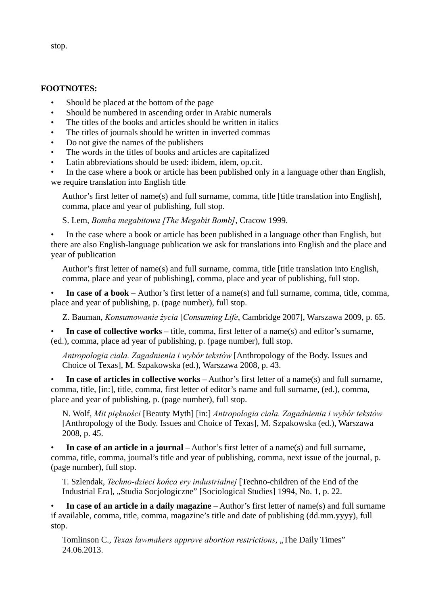**FOOTNOTES:**

- Should be placed at the bottom of the page
- Should be numbered in ascending order in Arabic numerals
- The titles of the books and articles should be written in italics
- The titles of journals should be written in inverted commas
- Do not give the names of the publishers
- The words in the titles of books and articles are capitalized
- Latin abbreviations should be used: ibidem, idem, op.cit.

• In the case where a book or article has been published only in a language other than English, we require translation into English title

Author's first letter of name(s) and full surname, comma, title [title translation into English], comma, place and year of publishing, full stop.

S. Lem, *Bomba megabitowa [The Megabit Bomb]*, Cracow 1999.

• In the case where a book or article has been published in a language other than English, but there are also English-language publication we ask for translations into English and the place and year of publication

Author's first letter of name(s) and full surname, comma, title [title translation into English, comma, place and year of publishing], comma, place and year of publishing, full stop.

• **In case of a book** – Author's first letter of a name(s) and full surname, comma, title, comma, place and year of publishing, p. (page number), full stop.

Z. Bauman, *Konsumowanie życia* [*Consuming Life*, Cambridge 2007], Warszawa 2009, p. 65.

• **In case of collective works** – title, comma, first letter of a name(s) and editor's surname, (ed.), comma, place ad year of publishing, p. (page number), full stop.

*Antropologia ciała. Zagadnienia i wybór tekstów* [Anthropology of the Body. Issues and Choice of Texas], M. Szpakowska (ed.), Warszawa 2008, p. 43.

• **In case of articles in collective works** – Author's first letter of a name(s) and full surname, comma, title, [in:], title, comma, first letter of editor's name and full surname, (ed.), comma, place and year of publishing, p. (page number), full stop.

N. Wolf, *Mit piękności* [Beauty Myth] [in:] *Antropologia ciała. Zagadnienia i wybór tekstów* [Anthropology of the Body. Issues and Choice of Texas], M. Szpakowska (ed.), Warszawa 2008, p. 45.

• **In case of an article in a journal** – Author's first letter of a name(s) and full surname, comma, title, comma, journal's title and year of publishing, comma, next issue of the journal, p. (page number), full stop.

T. Szlendak, *Techno-dzieci końca ery industrialnej* [Techno-children of the End of the Industrial Era], "Studia Socjologiczne" [Sociological Studies] 1994, No. 1, p. 22.

• In case of an article in a daily magazine – Author's first letter of name(s) and full surname if available, comma, title, comma, magazine's title and date of publishing (dd.mm.yyyy), full stop.

Tomlinson C., *Texas lawmakers approve abortion restrictions*, ..The Daily Times" 24.06.2013.

stop.